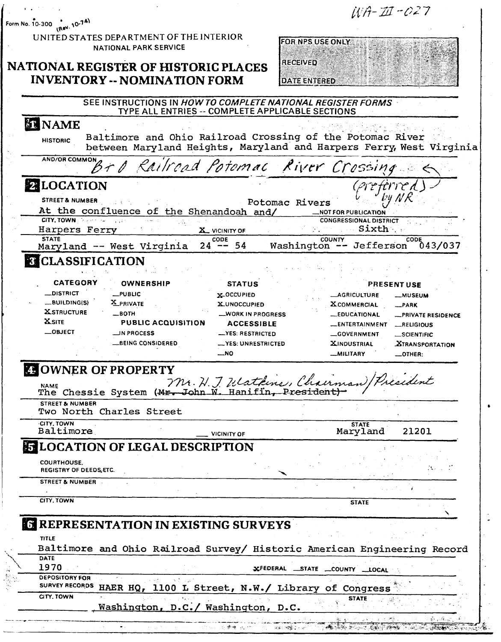| <b>RECEIVED</b><br>NATIONAL REGISTER OF HISTORIC PLACES<br><b>INVENTORY -- NOMINATION FORM</b><br>DATE ENTERED                                                                                                                                                                                                                                                                                                                                                                                                                                                                                                                  |
|---------------------------------------------------------------------------------------------------------------------------------------------------------------------------------------------------------------------------------------------------------------------------------------------------------------------------------------------------------------------------------------------------------------------------------------------------------------------------------------------------------------------------------------------------------------------------------------------------------------------------------|
| SEE INSTRUCTIONS IN HOW TO COMPLETE NATIONAL REGISTER FORMS<br>TYPE ALL ENTRIES -- COMPLETE APPLICABLE SECTIONS                                                                                                                                                                                                                                                                                                                                                                                                                                                                                                                 |
| <b>ET NAME</b><br>Baltimore and Ohio Railroad Crossing of the Potomac River<br><b>HISTORIC</b><br>between Maryland Heights, Maryland and Harpers Ferry, West Virginia                                                                                                                                                                                                                                                                                                                                                                                                                                                           |
| ANDIOR COMMON BT O Railroad Potemac River Crossing                                                                                                                                                                                                                                                                                                                                                                                                                                                                                                                                                                              |
| <b>2 LOCATION</b><br>preferred<br>STREET & NUMBER<br>Potomac Rivers<br>At the confluence of the Shenandoah and/<br><b>_NOT FOR PUBLICATION</b><br>CITY, TOWN<br><b>CONGRESSIONAL DISTRICT</b><br>Sixth<br>Harpers Ferry<br>X VICINITY OF<br><b>STATE</b><br>CODE<br><b>COUNTY</b><br>CODE                                                                                                                                                                                                                                                                                                                                       |
| $24 - 54$<br>Washington -- Jefferson<br>Maryland -- West Virginia<br>043/037<br><b>CLASSIFICATION</b>                                                                                                                                                                                                                                                                                                                                                                                                                                                                                                                           |
| _DISTRICT<br>$_{\text{L}}$ PUBLIC<br>X-OCCUPIED<br><b>__AGRICULTURE</b><br><b>__MUSEUM</b><br>_BUILDING(S)<br><b>X</b> PRIVATE<br><b>X_UNOCCUPIED</b><br><b>XCOMMERCIAL</b><br>$-$ PARK<br><b>XSTRUCTURE</b><br>$\equiv$ BOTH<br>_WORK IN PROGRESS<br><b>LEDUCATIONAL</b><br>-PRIVATE RESIDENCE<br><b>X</b> SITE<br><b>PUBLIC ACQUISITION</b><br><b>ACCESSIBLE</b><br>__ENTERTAINMENT<br>LRELIGIOUS<br>$\_$ OBJECT<br><b>MPROCESS</b><br>__YES: RESTRICTED<br>GOVERNMENT<br>_SCIENTIFIC<br>BEING CONSIDERED<br>-YES: UNRESTRICTED<br><b>XINDUSTRIAL</b><br><b>XTRANSPORTATION</b><br>$\mathsf{M}$<br><b>MILITARY</b><br>_OTHER: |
| <b>CHOWNER OF PROPERTY</b><br>Mr. H. J. Heathing, Chairman) President                                                                                                                                                                                                                                                                                                                                                                                                                                                                                                                                                           |
| <b>STREET &amp; NUMBER</b><br>Two North Charles Street                                                                                                                                                                                                                                                                                                                                                                                                                                                                                                                                                                          |
| <b>CITY, TOWN</b><br><b>STATE</b><br>Baltimore<br>Maryland<br>21201<br>VICINITY OF                                                                                                                                                                                                                                                                                                                                                                                                                                                                                                                                              |
| <b>ET LOCATION OF LEGAL DESCRIPTION</b><br><b>COURTHOUSE.</b><br>REGISTRY OF DEEDS, ETC.                                                                                                                                                                                                                                                                                                                                                                                                                                                                                                                                        |
| STREET & NUMBER<br>CITY, TOWN<br><b>STATE</b>                                                                                                                                                                                                                                                                                                                                                                                                                                                                                                                                                                                   |
| <b>6 REPRESENTATION IN EXISTING SURVEYS</b>                                                                                                                                                                                                                                                                                                                                                                                                                                                                                                                                                                                     |
| <b>TITLE</b><br>Baltimore and Ohio Railroad Survey/ Historic American Engineering Record                                                                                                                                                                                                                                                                                                                                                                                                                                                                                                                                        |
| DATE<br>1970                                                                                                                                                                                                                                                                                                                                                                                                                                                                                                                                                                                                                    |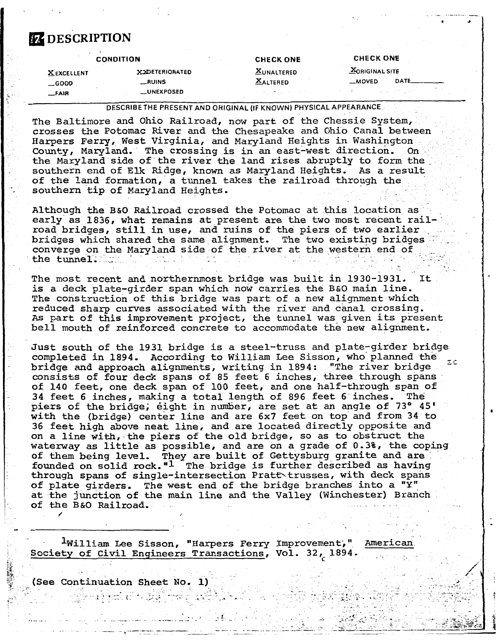## **EZ DESCRIPTION**

| <b>MORIGINAL SITE</b><br><b>XUNALTERED</b><br><b>XXDETERIORATED</b><br><b>XEXCELLENT</b> |  |
|------------------------------------------------------------------------------------------|--|
| <b>XALTERED</b><br>DATE<br><b>MOVED</b><br>_RUINS<br>$$ GOOD                             |  |
| <b>__UNEXPOSED</b><br>オート・ディスク しょうしょうそう しんかい<br>いんり きょうそう えんぐ<br>$-FAIR$                 |  |

**DESCRIBE THE PRESENT AND ORIGINAL (IF KNOWN) PHYSICAL APPEARANCE** 

The Baltimore and Ohio Railroad, now part of the Chessie System, crosses the Potomac River and the Chesapeake and Ohio Canal between Harpers Ferry, West Virginia, and Maryland Heights in Washington County, Maryland. The crossing is in an east-west direction, On the Maryland side of the river the land rises abruptly to form the southern end of **Elk** Ridge, known as Maryland Heights. As a result of the land formation, a tunnel takes the railroad through the southern tip of Maryland Heights.

Although the B&O Railroad crossed the Potomac at this location as early **as** 1836, what remains **at** present are the two most recent rail-. road bridges, still in use, and ruins of the piers of two earlier bridges which shared the same alignment. The two existing bridges converge on the Maryland side of the river at the western end of the tunnel;  $\cdots$ 

The most recent **and** northernmost bridge was built in 1930-1931. It is a deck plate-girder span which now carries the **B&O** main line. The construction of **this** bridge was part of a new alignment which reduced sharp curves associated with the river and canal crossing. As part of this improvement project, the tunnel was given its present bell mouth of reinforced concrete to accommodate the new alignment.

Just south of **the** 1931 bridge is a steel-truss and plate-girder bridge completed in 1894. According to William Lee Sisson, who'planned the **r.-**  bridge and approach alignments, writing in 1894: **"The** river bridge - bridge and approach alignments, writing in 1894: "The river bridge<br>consists of four deck spans of 85 feet 6 inches, three through spans of 140 feet, one dedk span of 100 feet, and one half-through span of 34 feet 6 inches, making a total length of 896 feet 6-inches. The piers of the bridge, eight in number, are set at an angle of 73° 45' **with** the (bridge) center line and are 6x7 feet on top and from 34 to 36 feet high ahove neat line, and are located directly opposite and on a line with, the piers of the old bridge, so as to obstruct the waterway as little **as** possible, and are on a grade of 0 .3%, the coping of them being level. They are built of Gettysburg granite and are founded on solid rock." $1$  The bridge is further described as having through spans of single-intersection Pratt trusses, with deck spans of plate girders. The west end of the bridge branches into a **"Y"**  at the junction of the main line and the Valley (Winchester) Branch of **the** B&O Railroad, **f** 

 $1$ William Lee Sisson, "Harpers Ferry Improvement," American Society of Civil Engineers Transactions, Vol. 32, 1894.

(See Continuation Sheet No. 1)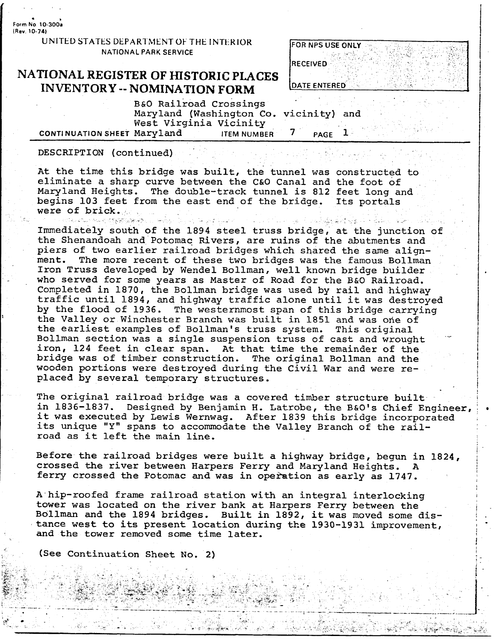. **<sup>L</sup> Form No 10-300a (Rev. 10-74)** 

> **UNITED STATES DEPARTMENT OF THE INTERIOR NATIONAL PARK SERVICE**

## **NATIONAL REGISTER OF HISTORIC PLACES DATE ENTERED INVENTORY** -- **NOMINATION FORM**

| <b>FOR NPS USE ONLY</b> |
|-------------------------|
| <b>RECEIVED</b>         |
| <b>DATE ENTERED</b>     |

B&O Railroad Crossings Maryland (Washington Co. vicinity) and West Virginia Vicinity<br>Marvland FIEM NUMBER **CONTI NUATION SHEET** Maryland **ITEM NUMBER 7 PAGE 1** 

DESCRIPTION (continued)

At the time this bridge was built, the tunnel was constructed to eliminate a sharp curve between the C&O Canal and the foot of Maryland Heights. The double-track tunnel is 812 feet long and begins 103 feet from the east end of the bridge. Its portals were of brick.

were the state of brick, and by the compact of the second contract of the second of the second second second second second second second second second second second second second second second second second second second s

Immediately south of the 1894 steel truss bridge, at the junction of the Shenandoah and Potomac Rivers, are ruins of the abutments and piers of two earlier railroad bridges which shared the same alignment. The more recent of these two bridges was the famous Bollman Iron Truss developed by Wendel Bollman, well known bridge builder who served for some years as Master of Road for the B&O Railroad. Completed in 1870, the Bollman bridge was used by rail and highway traffic until 1894, and highway traffic alone until it was destroyed by the flood of 1936. The westernmost span of this bridge carrying the Valley or Winchester Branch was built in 1851 and was one of the earliest examples of Bollman's truss system. This original Bollman section was a single suspension truss of cast and wrought iron, 124 feet in clear span. At that time the remainder of **the**  bridge was of timber construction. The original Bollman and the wooden portions were destroyed during the Civil War and were replaced by several temporary structures.

The original railroad bridge was a covered timber structure built in 1836-1837. Designed by Benjamin H. Latrobe, the B&O's Chief Engineer, it was executed by Lewis Wernwag. After 1839 this bridge incorporated its unique "Y" spans to accommodate the Valley Branch of the railroad as it left the main line.

Before the railroad bridges were built a highway bridge, begun in 1824, crossed the river between Harpers Ferry and Maryland Heights. **<sup>A</sup>** ferry crossed the Potomac and was in operation as early as 1747.

**A** hip-roofed frame railroad station with an integral interlocking tower was located on the river bank at Harpers Ferry between the Bollman and the 1894 bridges. Built in 1892, it was moved some distance west to its present location during the 1930-1931 improvement, **and** the tower removed some time later.

(See Continuation Sheet No. 2)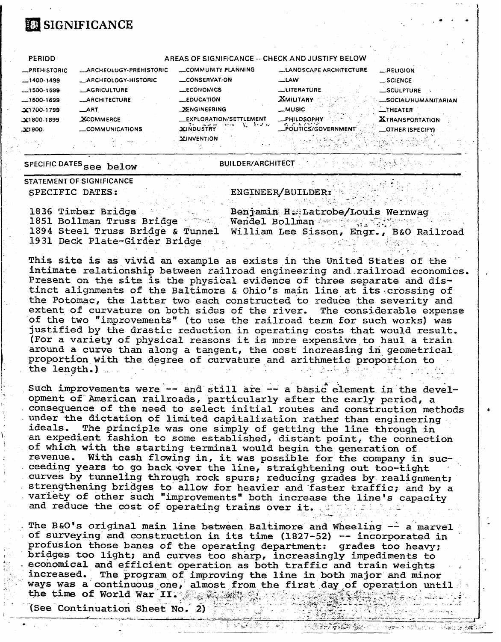# **BE SIGNIFICANCE**

| <b>PERIOD</b>  |                               | AREAS OF SIGNIFICANCE -- CHECK AND JUSTIFY BELOW |                                                     |                                  |
|----------------|-------------------------------|--------------------------------------------------|-----------------------------------------------------|----------------------------------|
| _PREHISTORIC   | <b>ARCHEOLOGY-PREHISTORIC</b> | COMMUNITY PLANNING                               | <b>LANDSCAPE ARCHITECTURE</b>                       | $$ RELIGION                      |
| $-1400-1499$   | <b>_ARCHEOLOGY-HISTORIC</b>   | <b>CONSERVATION</b>                              | <b>LAW</b>                                          | <b>SCIENCE</b>                   |
| $1500-1599$    | <b>AGRICULTURE</b>            | <b>LECONOMICS</b>                                | __LITERATURE                                        | _SCULPTURE                       |
| $-1600 - 1699$ | <b>__ARCHITECTURE</b>         | $\equiv$ EDUCATION                               | <b>XMILITARY</b>                                    | <b>SOCIAL/HUMANITARIAN</b>       |
| $X1700-1799$   | ART                           | <b>SENGINEERING</b>                              | _MUSIC                                              | $\overline{\phantom{0}}$ THEATER |
| $X1800-1899$   | <b>XCOMMERCE</b>              | _EXPLORATION/SETTLEMENT<br>de artista            | _PHILOSOPHY<br><b>CONTRACTO</b>                     | <b>XTRANSPORTATION</b>           |
| $-21900-$      | <b>__COMMUNICATIONS</b>       | <b>XINDUSTRY</b>                                 | __POLITICS/GOVERNMENT                               | <b>_OTHER (SPECIFY)</b>          |
|                |                               | <b>XINVENTION</b>                                |                                                     |                                  |
|                |                               |                                                  | the contract of the contract of the contract of the | . .                              |

SPECIFIC DATES see below

**BUILDER/ARCHITECT** , Youth Manual Progress 心系形象

STATEMENT OF SIGNIFICANCE SPECIFIC DATES:

#### ENGINEER/BUILDER:

노르 노인 단 것

1836 Timber Bridge 1851 Bollman Truss Bridge 1894 Steel Truss Bridge & Tunnel 1931 Deck Plate-Girder Bridge

Benjamin H. Latrobe/Louis Wernwag Wendel Bollman Approximately William Lee Sisson, Engr., B&O Railroad

~ 이번 승규가 수출되지 않았습니다 ~~ 000

This site is as vivid an example as exists in the United States of the intimate relationship between railroad engineering and railroad economics. Present on the site is the physical evidence of three separate and distinct alignments of the Baltimore & Ohio's main line at its crossing of the Potomac, the latter two each constructed to reduce the severity and extent of curvature on both sides of the river. The considerable expense of the two "improvements" (to use the railroad term for such works) was justified by the drastic reduction in operating costs that would result. (For a variety of physical reasons it is more expensive to haul a train around a curve than along a tangent, the cost increasing in geometrical proportion with the degree of curvature and arithmetic proportion to the length.)

Such improvements were -- and still are -- a basic element in the development of American railroads, particularly after the early period, a consequence of the need to select initial routes and construction methods under the dictation of limited capitalization rather than engineering ideals. The principle was one simply of getting the line through in an expedient fashion to some established, distant point, the connection of which with the starting terminal would begin the generation of. revenue. With cash flowing in, it was possible for the company in succeeding years to go back over the line, straightening out too-tight curves by tunneling through rock spurs; reducing grades by realignment; strengthening bridges to allow for heavier and faster traffic; and by a variety of other such "improvements" both increase the line's capacity and reduce the cost of operating trains over it.

The B&O's original main line between Baltimore and Wheeling -- a marvel of surveying and construction in its time (1827-52) -- incorporated in profusion those banes of the operating department: grades too heavy; bridges too light; and curves too sharp, increasingly impediments to economical and efficient operation as both traffic and train weights increased. The program of improving the line in both major and minor ways was a continuous one, almost from the first day of operation until the time of World War II. The state of

复铁路燃烧 收

(See Continuation Sheet No. 2)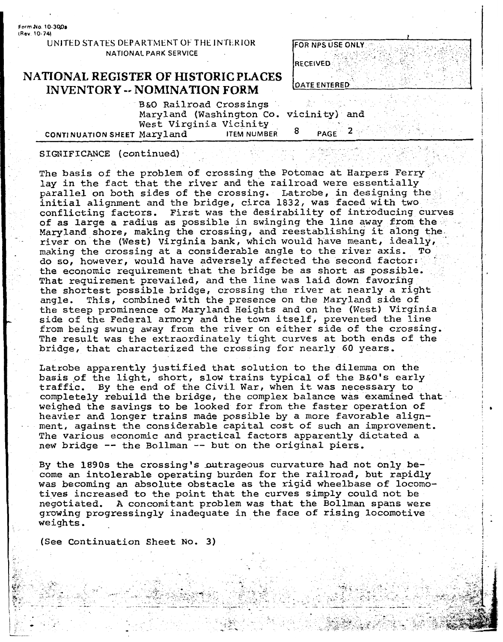**FormNo 10-3908 (Rev 10-74)** 

> **UNITED STATES DEPARTMENT OF THE INTERIOR NATIONAL PARK SERVICE**

### **NATIONAL REGISTER OF HISTORIC PLACES INVENTORY -- NOMINATION FORM**

|                       | FOR NPS USE ONLY    |     |  |  |
|-----------------------|---------------------|-----|--|--|
| RECEIVED              |                     |     |  |  |
|                       | <b>DATE ENTERED</b> |     |  |  |
| $\mathbf{v}$ icinity) |                     | and |  |  |

B&O Railroad Crossings Maryland (Washington Co. West Virginia Vicinity **2 CONTI** NU **ATION** SHEET Maryland **ITEM NUMBER PAGE** 

#### SIGNIFICANCE (continued)

The basis of the problem of crossing the Potomac at Harpers Ferry lay in the fact that the river and the railroad were essentially parallel on both sides of the crossing. Latrobe, in designing the initial alignment and the bridge, circa 1832, was faced with two conflicting factors. First was the desirability of introducing curves of as large a radius as possible in swinging the line away from the ...<br>Maryland shore, making the crossing, and reestablishing it along the Maryland shore, making the crossing, and reestablishing it along the river on the (West) Virginia bank, which would have meant, ideally, making the crossing at a considerable angle to the river axis. do so, however, would have adversely affected the second factor: the economic requirement that the bridge be as short as possible. That requirement prevailed, and the line was laid down favoring the shortest possible bridge, crossing the river at nearly a right angle. This, combined with the presence on the Maryland side of the steep prominence of Maryland Heights **and** on the (West) Virginia side of the Federal armory and the town itself, prevented the line from being swung away from the river on either side of the crossing. The result was the extraordinately tight curves at both ends of the bridge, that characterized the crossing for nearly 60 years.

Latrobe apparently justified that solution to the dilemma on the eatione apparently justified that solution to the difemma on the<br>basis of the light, short, slow trains typical of the B&O's early<br>traffic. By the end of the Civil War, when it was necessary to traffic. By the end of the Civil War, when it was necessary to completely rebuild the bridge, the complex balance was examined that weighed the savings to be looked for from the faster operation of heavier and longer trains made possible by a more favorable alignment, against the considerable capital cost of such an improvement. The various economic and practical factors apparently dictated a new bridge -- the Bollman -- but on the original piers,

By the 1890s the crossing's outrageous curvature had not only become an intolerable operating burden for the railroad, but rapidly was becoming an absolute obstacle as the rigid wheelbase of locomotives increased to the point that the curves simply could not be negotiated. **A** concomitant problem was that the Bollman spans were growing progressingly inadequate in the face of rising locomotive weights.

(See Continuation Sheet No. **3)**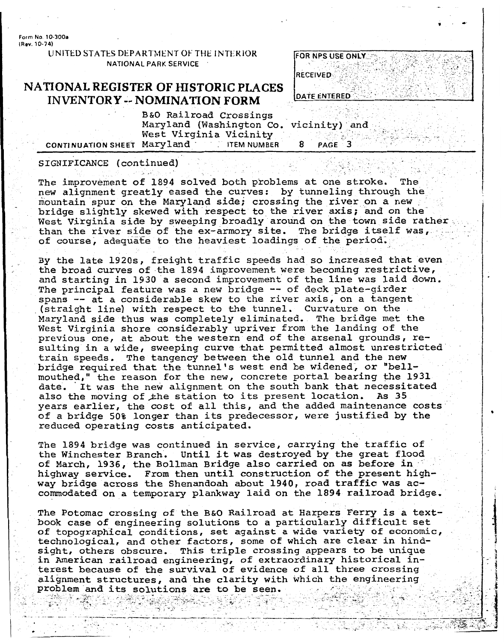**Form No. 10-300a (Rev. 10-74)** 

> **UNITED STATES DEPARTMENT OF THE INTERIOR NATIONAL PARK SERVICE**

### **NATIONAL REGISTER OF HISTORIC PLACES** , . **INVENTORY -- NOMINATION FORM**

|              | FOR NPS USE ONLY |  |  |
|--------------|------------------|--|--|
|              |                  |  |  |
| RECEIVED     |                  |  |  |
| DATE ENTERED |                  |  |  |

B&O Railroad Crossings Maryland (Washington Co. vicinity) and ; .- West Virginia Vicinity .\_ \_., **L** .- **CONTI NUATION** SHEET Maryland - . **ITEM NUMBER** 8 **PAGE '-3'** 

#### SIGNIFICANCE (continued)

The improvement of 1894 solved both problems at one stroke. The new alignment greatly eased the curves: by tunneling through the mountain spur on the Maryland side; crossing the river on a new bridge slightly skewed with respect to the river axis; and on the' West Virginia side by sweeping broadly around on the town side rather than the river side of the ex-armory site. The bridge itself was,<br>of course, adequate to the heaviest loadings of the period.

By the late 1920s, freight traffic speeds had so increased that even the broad curves of the 1894 improvement were becoming restrictive, and starting in 1930 a second improvement of the line was laid down. The principal feature was a new bridge -- of deck plate-girder spans -- at a considerable skew to the river axis, on a tangent (straight line) with respect to the tunnel. Curvature on the Maryland side thus was completely eliminated. The bridge met the West Virginia shore considerably upriver from the landing of the previous one, at about the western end of the arsenal grounds, resulting in a wide, sweeping curve that permitted almost unrestricted train speeds. The tangency between the old tunnel and the new bridge required that the tunnel's west end be widened, or "bellmouthed," the reason for the new, concrete portal bearing the 1931 date. It was the new alignment on the south bank that necessitated<br>also the moving of the station to its present location. As 35 also the moving of the station to its present location. years earlier, the cost of all this, and the added maintenance costs of a bridge 50% longer than its predecessor, were justified by the reduced operating costs anticipated.

The 1894 bridge was continued in service, carrying the traffic of the Winchester Branch. Until it was destroyed by the great flood of March, 1936, the Bollman Bridge also carried on as before in highway service. From then until construction of the present highway bridge across the Shenandoah about 1940, road traffic was **ac**commodated on a temporary plankway laid on the 1894 railroad bridge.

The Potomac crossing of the **B&O** Railroad at Harpers Ferry is a textbook case of engineering solutions to a particularly difficult set of topographical conditions, **set** against a wide variety of economic, technological, and other factors, some of which are clear in hindsight, others obscure. This triple crossing appears to be unique in American railroad engineering, of extraordinary historical interest because of the survival of evidence of all three crossina **<sup>a</sup>** refest because of the survival of evidence of all three crossing<br>alignment structures, and the clarity with which the engineering and the column and the column and the column of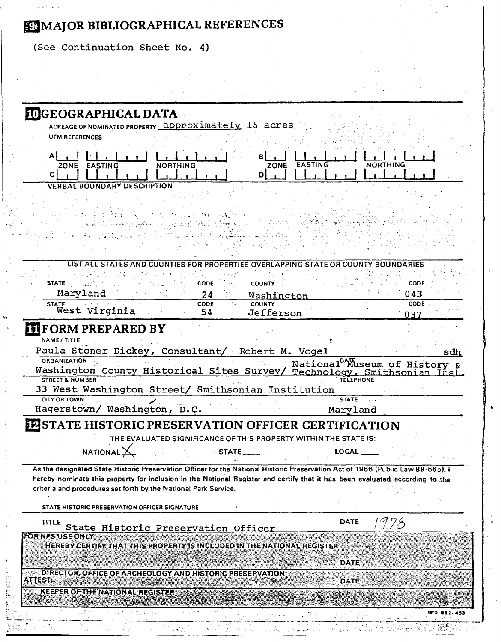# EMMAJOR BIBLIOGRAPHICAL REFERENCES

(See Continuation Sheet No. 4)

| <b>IDGEOGRAPHICAL DATA</b>                                                                                                                                                                                                                                                                                                         |                                                                                       |
|------------------------------------------------------------------------------------------------------------------------------------------------------------------------------------------------------------------------------------------------------------------------------------------------------------------------------------|---------------------------------------------------------------------------------------|
| ACREAGE OF NOMINATED PROPERTY approximately 15 acres<br>UTM REFERENCES                                                                                                                                                                                                                                                             |                                                                                       |
| Αl<br>NORTHING<br>ZONE EASTING<br><b>ZONE</b><br>C I<br>DΙ                                                                                                                                                                                                                                                                         | <b>NORTHING</b><br><b>EASTING</b>                                                     |
| <b>VERBAL BOUNDARY DESCRIPTION</b>                                                                                                                                                                                                                                                                                                 |                                                                                       |
| 25.77.22.1                                                                                                                                                                                                                                                                                                                         |                                                                                       |
| <b>STATES AND COUNTIES FOR PROPERTIES</b><br>LIST ALL                                                                                                                                                                                                                                                                              | NG STATE OR COL                                                                       |
| u di Sel<br>Elizabeth College<br>College College College College College College College College College College College College College College<br>STATE <b>And State</b><br><b>COUNTY</b><br>CODE.<br>Maryland                                                                                                                   | CODE<br>043                                                                           |
| 24<br>Washington<br><b>COUNTY</b><br>CODE 2007-<br>STATE .                                                                                                                                                                                                                                                                         | CODE.                                                                                 |
| West Virginia<br>54<br>Jefferson                                                                                                                                                                                                                                                                                                   | 037                                                                                   |
| Paula Stoner Dickey, Consultant/ Robert M. Vogel<br><b>ORGANIZATION</b><br>Washington County Historical Sites Survey/ Technology, Smithsonian Inst.<br><b>STREET &amp; NUMBER</b><br>33 West Washington Street/ Smithsonian Institution<br><b>CITY OR TOWN</b>                                                                     | sdh<br>National <sup>DAM</sup> useum of History &<br><b>TELEPHONE</b><br><b>STATE</b> |
| Hagerstown/ Washington, D.C.                                                                                                                                                                                                                                                                                                       | Maryland                                                                              |
| EZSTATE HISTORIC PRESERVATION OFFICER CERTIFICATION<br>THE EVALUATED SIGNIFICANCE OF THIS PROPERTY WITHIN THE STATE IS:                                                                                                                                                                                                            |                                                                                       |
| NATIONAL $\searrow$<br><b>STATE</b>                                                                                                                                                                                                                                                                                                | <b>LOCAL</b>                                                                          |
| As the designated State Historic Preservation Officer for the National Historic Preservation Act of 1966 (Public Law 89-665), I<br>hereby nominate this property for inclusion in the National Register and certify that it has been evaluated according to the<br>criteria and procedures set forth by the National Park Service. |                                                                                       |
| STATE HISTORIC PRESERVATION OFFICER SIGNATURE                                                                                                                                                                                                                                                                                      |                                                                                       |
| TITLE<br>State Historic Preservation Officer                                                                                                                                                                                                                                                                                       | <b>DATE</b>                                                                           |
| FOR NPS USE ONLY<br>I HEREBY CERTIFY THAT THIS PROPERTY IS INCLUDED IN THE NATIONAL REGISTER                                                                                                                                                                                                                                       | DATE                                                                                  |
| DIRECTOR, OFFICE OF ARCHEOLOGY AND HISTORIC PRESERVATION<br><b>ATTEST:</b>                                                                                                                                                                                                                                                         | <b>DATE</b>                                                                           |
| KEEPER OF THE NATIONAL REGISTER                                                                                                                                                                                                                                                                                                    |                                                                                       |
|                                                                                                                                                                                                                                                                                                                                    |                                                                                       |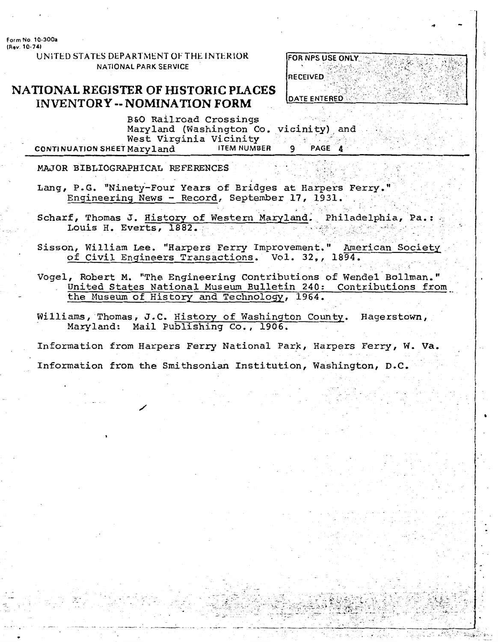Form No. 10-300a (Rev. 10-74)

> UNITED STATES DEPARTMENT OF THE INTERIOR **NATIONAL PARK SERVICE**

## NATIONAL REGISTER OF HISTORIC PLACES **INVENTORY -- NOMINATION FORM**

| <b>FOR NPS USE ONLY</b> |  |
|-------------------------|--|
| RECEIVED                |  |
|                         |  |
| <b>DATE ENTERED</b>     |  |

B&O Railroad Crossings Maryland (Washington Co. vicinity) and West Virginia Vicinity **ITEM NUMBER** CONTINUATION SHEET Maryland PAGE 4

MAJOR BIBLIOGRAPHICAL REFERENCES

- Lang, P.G. "Ninety-Four Years of Bridges at Harpers Ferry." Engineering News - Record, September 17, 1931.
- Scharf, Thomas J. History of Western Maryland. Philadelphia, Pa.: Louis H. Everts, 1882.
- Sisson, William Lee. "Harpers Ferry Improvement." American Society of Civil Engineers Transactions. Vol. 32,, 1894.
- Vogel, Robert M. "The Engineering Contributions of Wendel Bollman." United States National Museum Bulletin 240: Contributions from the Museum of History and Technology, 1964.
- Williams, Thomas, J.C. History of Washington County. Hagerstown, Maryland: Mail Publishing Co., 1906.

Information from Harpers Ferry National Park, Harpers Ferry, W. Va. Information from the Smithsonian Institution, Washington, D.C.